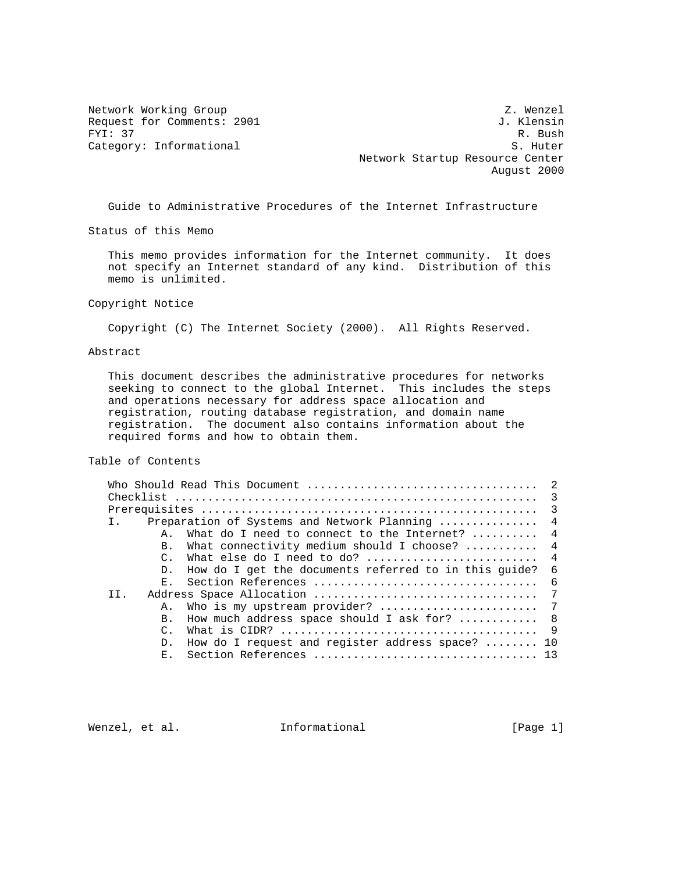Network Working Group Z. Wenzel Request for Comments: 2901 J. Klensin<br>FYI: 37 R. Bush FYI: 37 R. Bush Category: Informational S. Huter Network Startup Resource Center August 2000

Guide to Administrative Procedures of the Internet Infrastructure

Status of this Memo

 This memo provides information for the Internet community. It does not specify an Internet standard of any kind. Distribution of this memo is unlimited.

Copyright Notice

Copyright (C) The Internet Society (2000). All Rights Reserved.

# Abstract

 This document describes the administrative procedures for networks seeking to connect to the global Internet. This includes the steps and operations necessary for address space allocation and registration, routing database registration, and domain name registration. The document also contains information about the required forms and how to obtain them.

# Table of Contents

|     |                 | Preparation of Systems and Network Planning  4                    |                |
|-----|-----------------|-------------------------------------------------------------------|----------------|
|     | A.,             | What do I need to connect to the Internet? $\ldots \ldots$ 4      |                |
|     | B.              | What connectivity medium should I choose? $\ldots \ldots \ldots$  | $\overline{4}$ |
|     | $\mathcal{C}$ . | What else do I need to do?  4                                     |                |
|     | D.              | How do I get the documents referred to in this quide?             | - 6            |
|     | E.,             | Section References                                                | - 6            |
| TT. |                 |                                                                   | 7              |
|     | Α.              |                                                                   |                |
|     | $B_{\perp}$     | How much address space should I ask for? $\ldots \ldots \ldots$ 8 |                |
|     | $\mathcal{C}$ . |                                                                   |                |
|     | D.              | How do I request and register address space? $\ldots \ldots$ 10   |                |
|     | E.,             |                                                                   |                |
|     |                 |                                                                   |                |

Wenzel, et al.  $I$ nformational (Page 1)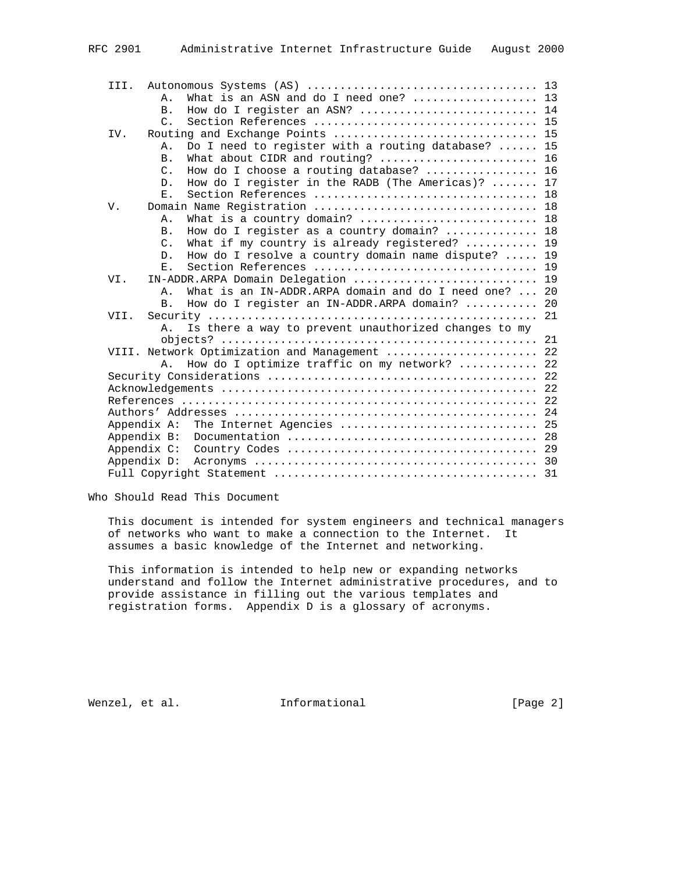| III.        |                 |                                                       |  |
|-------------|-----------------|-------------------------------------------------------|--|
|             | Ά.              | What is an ASN and do I need one?  13                 |  |
|             | B <sub>1</sub>  | How do I register an ASN?  14                         |  |
|             | $\mathcal{C}$ . |                                                       |  |
| IV.         |                 |                                                       |  |
|             | Α.              | Do I need to register with a routing database?  15    |  |
|             | <b>B</b> .      |                                                       |  |
|             | $C_{\cdot}$     | How do I choose a routing database?  16               |  |
|             | $D$ .           | How do I register in the RADB (The Americas)?  17     |  |
|             | $\mathbf{E}$ .  |                                                       |  |
| V.          |                 |                                                       |  |
|             | Α.              | What is a country domain?  18                         |  |
|             | <b>B</b> .      | How do I register as a country domain?  18            |  |
|             | $C_{\cdot}$     | What if my country is already registered?  19         |  |
|             | $D$ .           | How do I resolve a country domain name dispute?  19   |  |
|             | $E$ .           |                                                       |  |
| VI.         |                 | IN-ADDR.ARPA Domain Delegation  19                    |  |
|             | Α.              | What is an IN-ADDR.ARPA domain and do I need one?  20 |  |
|             | <b>B</b> .      | How do I register an IN-ADDR.ARPA domain?  20         |  |
|             |                 |                                                       |  |
|             | Α.              | Is there a way to prevent unauthorized changes to my  |  |
|             |                 |                                                       |  |
|             |                 | VIII. Network Optimization and Management  22         |  |
|             | $\mathsf{A}$ .  | How do I optimize traffic on my network?  22          |  |
|             |                 |                                                       |  |
|             |                 |                                                       |  |
|             |                 |                                                       |  |
|             |                 |                                                       |  |
| Appendix A: |                 | The Internet Agencies  25                             |  |
| Appendix B: |                 |                                                       |  |
| Appendix C: |                 |                                                       |  |
| Appendix D: |                 |                                                       |  |
|             |                 |                                                       |  |

Who Should Read This Document

 This document is intended for system engineers and technical managers of networks who want to make a connection to the Internet. It assumes a basic knowledge of the Internet and networking.

 This information is intended to help new or expanding networks understand and follow the Internet administrative procedures, and to provide assistance in filling out the various templates and registration forms. Appendix D is a glossary of acronyms.

Wenzel, et al. 1nformational 1999 [Page 2]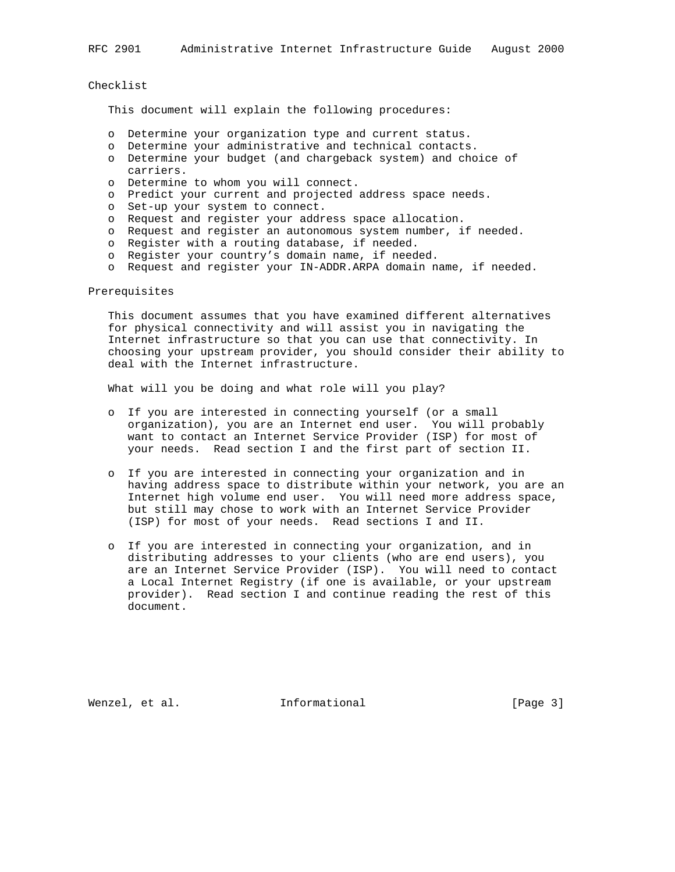RFC 2901 Administrative Internet Infrastructure Guide August 2000

Checklist

This document will explain the following procedures:

- o Determine your organization type and current status.
- o Determine your administrative and technical contacts.
- o Determine your budget (and chargeback system) and choice of carriers.
- o Determine to whom you will connect.
- o Predict your current and projected address space needs.
- o Set-up your system to connect.
- o Request and register your address space allocation.
- o Request and register an autonomous system number, if needed.
- o Register with a routing database, if needed.
- o Register your country's domain name, if needed.
- o Request and register your IN-ADDR.ARPA domain name, if needed.

### Prerequisites

 This document assumes that you have examined different alternatives for physical connectivity and will assist you in navigating the Internet infrastructure so that you can use that connectivity. In choosing your upstream provider, you should consider their ability to deal with the Internet infrastructure.

What will you be doing and what role will you play?

- o If you are interested in connecting yourself (or a small organization), you are an Internet end user. You will probably want to contact an Internet Service Provider (ISP) for most of your needs. Read section I and the first part of section II.
	- o If you are interested in connecting your organization and in having address space to distribute within your network, you are an Internet high volume end user. You will need more address space, but still may chose to work with an Internet Service Provider (ISP) for most of your needs. Read sections I and II.
	- o If you are interested in connecting your organization, and in distributing addresses to your clients (who are end users), you are an Internet Service Provider (ISP). You will need to contact a Local Internet Registry (if one is available, or your upstream provider). Read section I and continue reading the rest of this document.

Wenzel, et al. **Informational** [Page 3]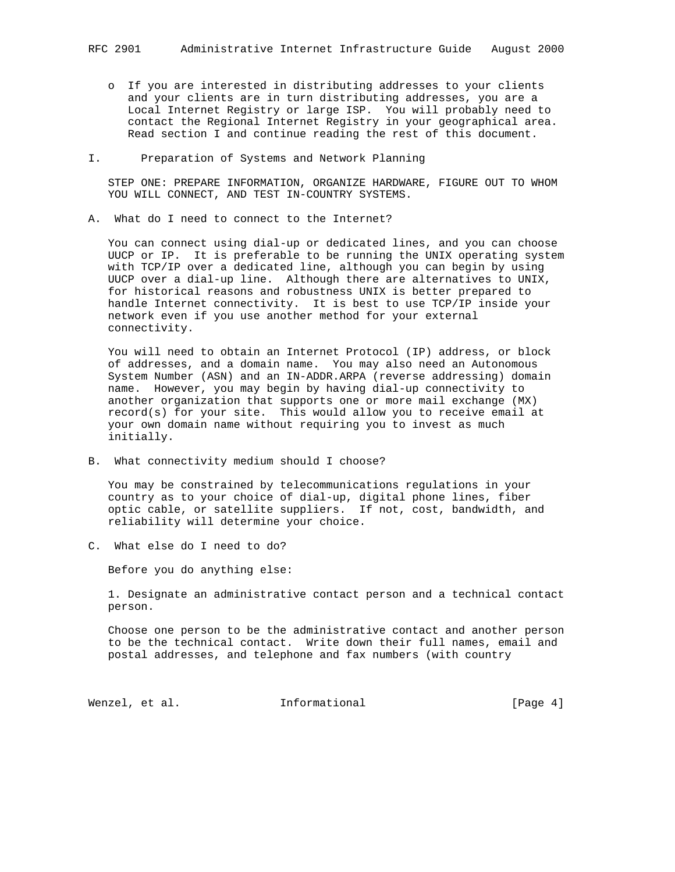o If you are interested in distributing addresses to your clients and your clients are in turn distributing addresses, you are a Local Internet Registry or large ISP. You will probably need to contact the Regional Internet Registry in your geographical area. Read section I and continue reading the rest of this document.

### I. Preparation of Systems and Network Planning

 STEP ONE: PREPARE INFORMATION, ORGANIZE HARDWARE, FIGURE OUT TO WHOM YOU WILL CONNECT, AND TEST IN-COUNTRY SYSTEMS.

A. What do I need to connect to the Internet?

 You can connect using dial-up or dedicated lines, and you can choose UUCP or IP. It is preferable to be running the UNIX operating system with TCP/IP over a dedicated line, although you can begin by using UUCP over a dial-up line. Although there are alternatives to UNIX, for historical reasons and robustness UNIX is better prepared to handle Internet connectivity. It is best to use TCP/IP inside your network even if you use another method for your external connectivity.

 You will need to obtain an Internet Protocol (IP) address, or block of addresses, and a domain name. You may also need an Autonomous System Number (ASN) and an IN-ADDR.ARPA (reverse addressing) domain name. However, you may begin by having dial-up connectivity to another organization that supports one or more mail exchange (MX) record(s) for your site. This would allow you to receive email at your own domain name without requiring you to invest as much initially.

B. What connectivity medium should I choose?

 You may be constrained by telecommunications regulations in your country as to your choice of dial-up, digital phone lines, fiber optic cable, or satellite suppliers. If not, cost, bandwidth, and reliability will determine your choice.

C. What else do I need to do?

Before you do anything else:

 1. Designate an administrative contact person and a technical contact person.

 Choose one person to be the administrative contact and another person to be the technical contact. Write down their full names, email and postal addresses, and telephone and fax numbers (with country

Wenzel, et al. 1nformational 1999 [Page 4]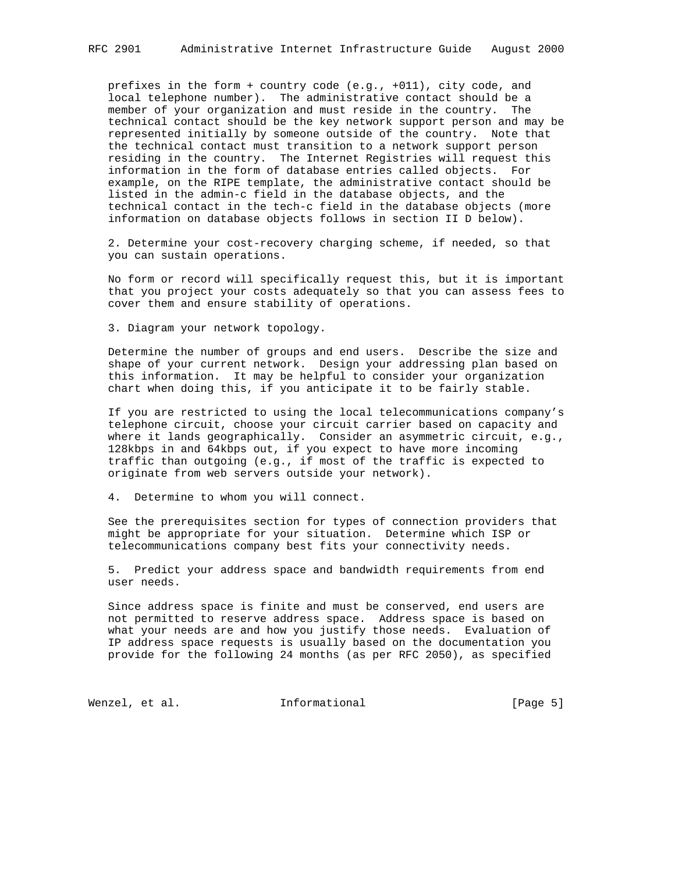prefixes in the form + country code (e.g., +011), city code, and local telephone number). The administrative contact should be a member of your organization and must reside in the country. The technical contact should be the key network support person and may be represented initially by someone outside of the country. Note that the technical contact must transition to a network support person residing in the country. The Internet Registries will request this information in the form of database entries called objects. For example, on the RIPE template, the administrative contact should be listed in the admin-c field in the database objects, and the technical contact in the tech-c field in the database objects (more information on database objects follows in section II D below).

 2. Determine your cost-recovery charging scheme, if needed, so that you can sustain operations.

 No form or record will specifically request this, but it is important that you project your costs adequately so that you can assess fees to cover them and ensure stability of operations.

3. Diagram your network topology.

 Determine the number of groups and end users. Describe the size and shape of your current network. Design your addressing plan based on this information. It may be helpful to consider your organization chart when doing this, if you anticipate it to be fairly stable.

 If you are restricted to using the local telecommunications company's telephone circuit, choose your circuit carrier based on capacity and where it lands geographically. Consider an asymmetric circuit, e.g., 128kbps in and 64kbps out, if you expect to have more incoming traffic than outgoing (e.g., if most of the traffic is expected to originate from web servers outside your network).

4. Determine to whom you will connect.

 See the prerequisites section for types of connection providers that might be appropriate for your situation. Determine which ISP or telecommunications company best fits your connectivity needs.

 5. Predict your address space and bandwidth requirements from end user needs.

 Since address space is finite and must be conserved, end users are not permitted to reserve address space. Address space is based on what your needs are and how you justify those needs. Evaluation of IP address space requests is usually based on the documentation you provide for the following 24 months (as per RFC 2050), as specified

Wenzel, et al. 1nformational 1999 [Page 5]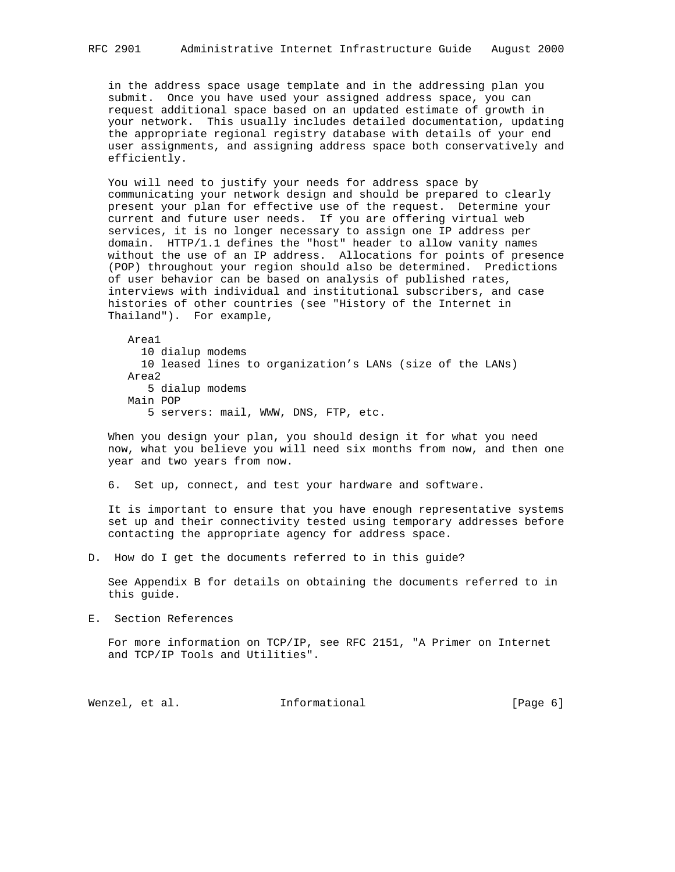in the address space usage template and in the addressing plan you submit. Once you have used your assigned address space, you can request additional space based on an updated estimate of growth in your network. This usually includes detailed documentation, updating the appropriate regional registry database with details of your end user assignments, and assigning address space both conservatively and efficiently.

 You will need to justify your needs for address space by communicating your network design and should be prepared to clearly present your plan for effective use of the request. Determine your current and future user needs. If you are offering virtual web services, it is no longer necessary to assign one IP address per domain. HTTP/1.1 defines the "host" header to allow vanity names without the use of an IP address. Allocations for points of presence (POP) throughout your region should also be determined. Predictions of user behavior can be based on analysis of published rates, interviews with individual and institutional subscribers, and case histories of other countries (see "History of the Internet in Thailand"). For example,

 Area1 10 dialup modems 10 leased lines to organization's LANs (size of the LANs) Area2 5 dialup modems Main POP 5 servers: mail, WWW, DNS, FTP, etc.

 When you design your plan, you should design it for what you need now, what you believe you will need six months from now, and then one year and two years from now.

6. Set up, connect, and test your hardware and software.

 It is important to ensure that you have enough representative systems set up and their connectivity tested using temporary addresses before contacting the appropriate agency for address space.

D. How do I get the documents referred to in this guide?

 See Appendix B for details on obtaining the documents referred to in this guide.

E. Section References

 For more information on TCP/IP, see RFC 2151, "A Primer on Internet and TCP/IP Tools and Utilities".

Wenzel, et al. **Informational** [Page 6]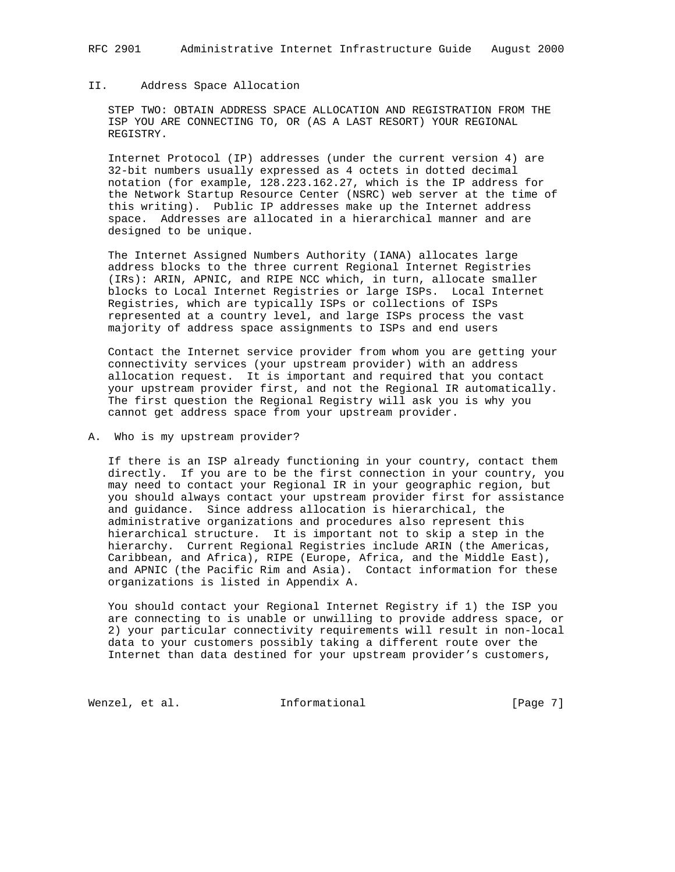# RFC 2901 Administrative Internet Infrastructure Guide August 2000

# II. Address Space Allocation

 STEP TWO: OBTAIN ADDRESS SPACE ALLOCATION AND REGISTRATION FROM THE ISP YOU ARE CONNECTING TO, OR (AS A LAST RESORT) YOUR REGIONAL REGISTRY.

 Internet Protocol (IP) addresses (under the current version 4) are 32-bit numbers usually expressed as 4 octets in dotted decimal notation (for example, 128.223.162.27, which is the IP address for the Network Startup Resource Center (NSRC) web server at the time of this writing). Public IP addresses make up the Internet address space. Addresses are allocated in a hierarchical manner and are designed to be unique.

 The Internet Assigned Numbers Authority (IANA) allocates large address blocks to the three current Regional Internet Registries (IRs): ARIN, APNIC, and RIPE NCC which, in turn, allocate smaller blocks to Local Internet Registries or large ISPs. Local Internet Registries, which are typically ISPs or collections of ISPs represented at a country level, and large ISPs process the vast majority of address space assignments to ISPs and end users

 Contact the Internet service provider from whom you are getting your connectivity services (your upstream provider) with an address allocation request. It is important and required that you contact your upstream provider first, and not the Regional IR automatically. The first question the Regional Registry will ask you is why you cannot get address space from your upstream provider.

### A. Who is my upstream provider?

 If there is an ISP already functioning in your country, contact them directly. If you are to be the first connection in your country, you may need to contact your Regional IR in your geographic region, but you should always contact your upstream provider first for assistance and guidance. Since address allocation is hierarchical, the administrative organizations and procedures also represent this hierarchical structure. It is important not to skip a step in the hierarchy. Current Regional Registries include ARIN (the Americas, Caribbean, and Africa), RIPE (Europe, Africa, and the Middle East), and APNIC (the Pacific Rim and Asia). Contact information for these organizations is listed in Appendix A.

 You should contact your Regional Internet Registry if 1) the ISP you are connecting to is unable or unwilling to provide address space, or 2) your particular connectivity requirements will result in non-local data to your customers possibly taking a different route over the Internet than data destined for your upstream provider's customers,

Wenzel, et al. 1nformational 1999 [Page 7]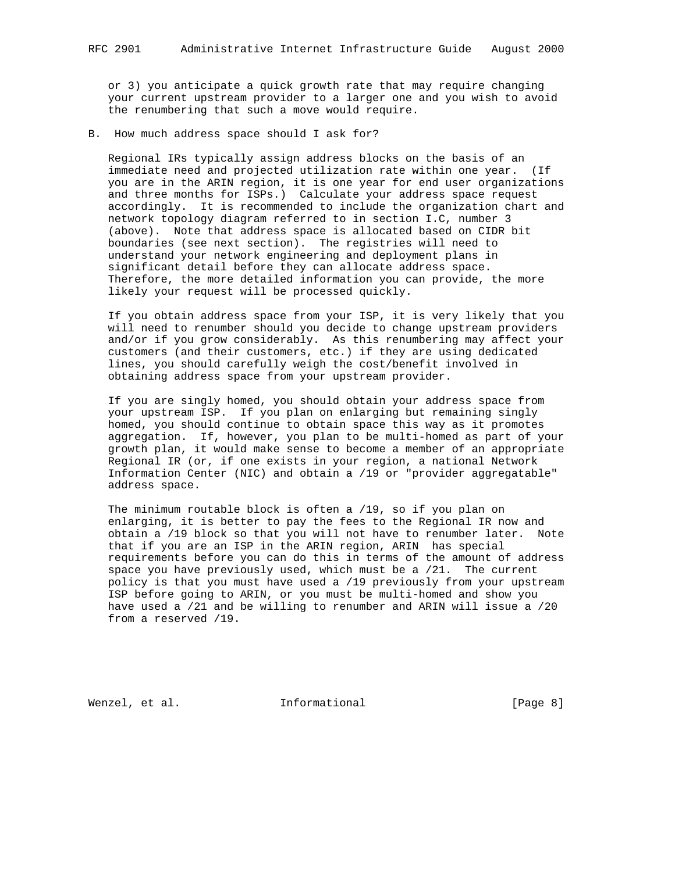or 3) you anticipate a quick growth rate that may require changing your current upstream provider to a larger one and you wish to avoid the renumbering that such a move would require.

B. How much address space should I ask for?

 Regional IRs typically assign address blocks on the basis of an immediate need and projected utilization rate within one year. (If you are in the ARIN region, it is one year for end user organizations and three months for ISPs.) Calculate your address space request accordingly. It is recommended to include the organization chart and network topology diagram referred to in section I.C, number 3 (above). Note that address space is allocated based on CIDR bit boundaries (see next section). The registries will need to understand your network engineering and deployment plans in significant detail before they can allocate address space. Therefore, the more detailed information you can provide, the more likely your request will be processed quickly.

 If you obtain address space from your ISP, it is very likely that you will need to renumber should you decide to change upstream providers and/or if you grow considerably. As this renumbering may affect your customers (and their customers, etc.) if they are using dedicated lines, you should carefully weigh the cost/benefit involved in obtaining address space from your upstream provider.

 If you are singly homed, you should obtain your address space from your upstream ISP. If you plan on enlarging but remaining singly homed, you should continue to obtain space this way as it promotes aggregation. If, however, you plan to be multi-homed as part of your growth plan, it would make sense to become a member of an appropriate Regional IR (or, if one exists in your region, a national Network Information Center (NIC) and obtain a /19 or "provider aggregatable" address space.

 The minimum routable block is often a /19, so if you plan on enlarging, it is better to pay the fees to the Regional IR now and obtain a /19 block so that you will not have to renumber later. Note that if you are an ISP in the ARIN region, ARIN has special requirements before you can do this in terms of the amount of address space you have previously used, which must be a /21. The current policy is that you must have used a /19 previously from your upstream ISP before going to ARIN, or you must be multi-homed and show you have used a /21 and be willing to renumber and ARIN will issue a /20 from a reserved /19.

Wenzel, et al. **Informational** [Page 8]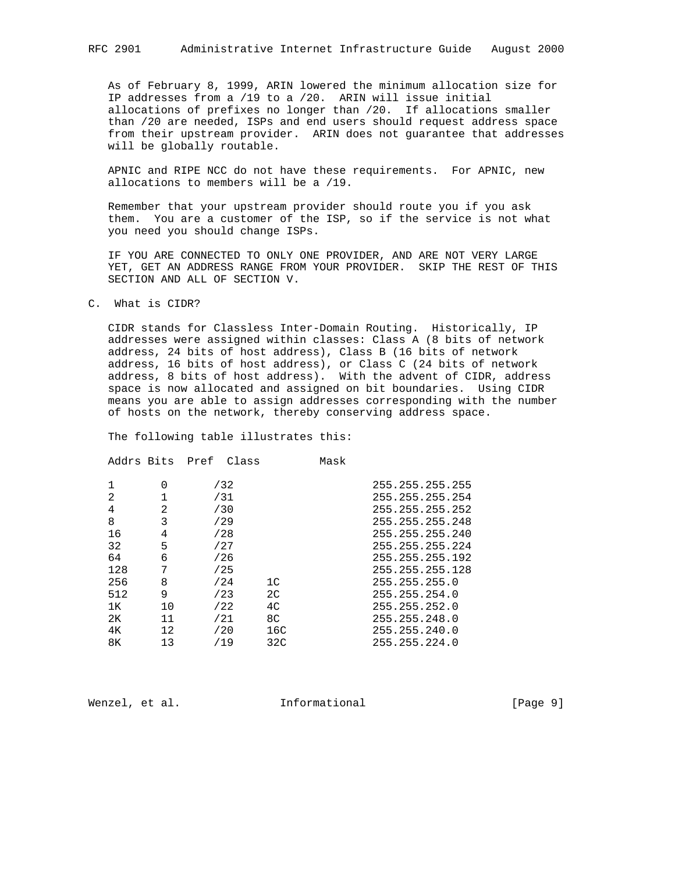As of February 8, 1999, ARIN lowered the minimum allocation size for IP addresses from a /19 to a /20. ARIN will issue initial allocations of prefixes no longer than /20. If allocations smaller than /20 are needed, ISPs and end users should request address space from their upstream provider. ARIN does not guarantee that addresses will be globally routable.

 APNIC and RIPE NCC do not have these requirements. For APNIC, new allocations to members will be a /19.

 Remember that your upstream provider should route you if you ask them. You are a customer of the ISP, so if the service is not what you need you should change ISPs.

 IF YOU ARE CONNECTED TO ONLY ONE PROVIDER, AND ARE NOT VERY LARGE YET, GET AN ADDRESS RANGE FROM YOUR PROVIDER. SKIP THE REST OF THIS SECTION AND ALL OF SECTION V.

C. What is CIDR?

 CIDR stands for Classless Inter-Domain Routing. Historically, IP addresses were assigned within classes: Class A (8 bits of network address, 24 bits of host address), Class B (16 bits of network address, 16 bits of host address), or Class C (24 bits of network address, 8 bits of host address). With the advent of CIDR, address space is now allocated and assigned on bit boundaries. Using CIDR means you are able to assign addresses corresponding with the number of hosts on the network, thereby conserving address space.

The following table illustrates this:

| Addrs Bits     |             | Pref | Class |                | Mask |                 |
|----------------|-------------|------|-------|----------------|------|-----------------|
| 1              | $\Omega$    |      | /32   |                |      | 255.255.255.255 |
| $\overline{2}$ | $\mathbf 1$ |      | /31   |                |      | 255.255.255.254 |
| 4              | 2           |      | /30   |                |      | 255.255.255.252 |
| 8              | 3           |      | /29   |                |      | 255.255.255.248 |
| 16             | 4           |      | /28   |                |      | 255.255.255.240 |
| 32             | 5           |      | /27   |                |      | 255.255.255.224 |
| 64             | 6           |      | /26   |                |      | 255.255.255.192 |
| 128            | 7           |      | /25   |                |      | 255.255.255.128 |
| 256            | 8           |      | /24   | 1 <sup>C</sup> |      | 255.255.255.0   |
| 512            | 9           |      | /23   | 2 <sub>C</sub> |      | 255.255.254.0   |
| 1ĸ             | 10          |      | /22   | 4 <sup>C</sup> |      | 255.255.252.0   |
| 2к             | 11          |      | /21   | 8C             |      | 255.255.248.0   |
| 4Κ             | 12          |      | /20   | 16C            |      | 255.255.240.0   |
| 8K             | 13          |      | /19   | 32C            |      | 255.255.224.0   |
|                |             |      |       |                |      |                 |

Wenzel, et al. 1nformational 1999 [Page 9]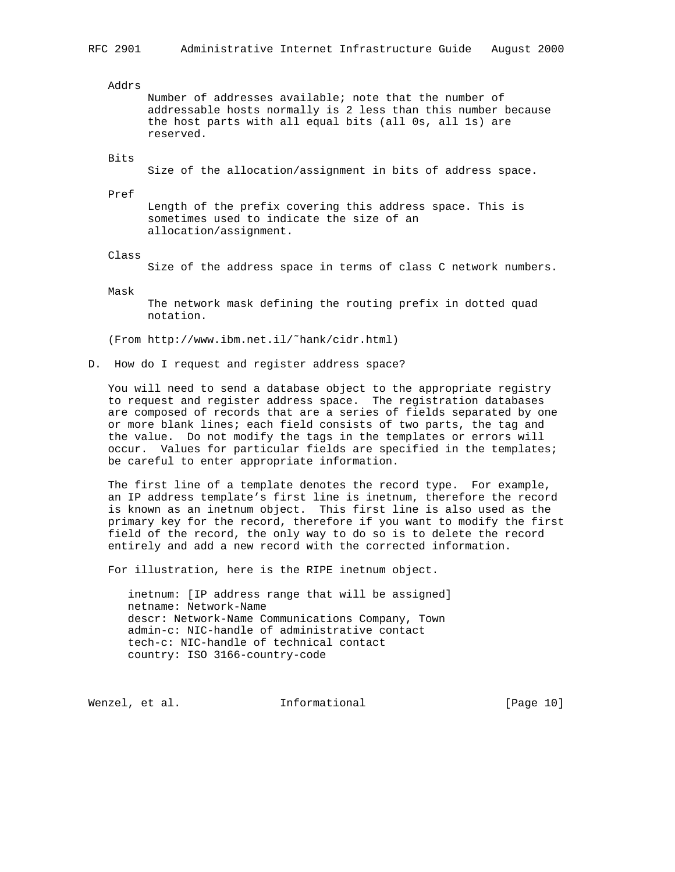Addrs

 Number of addresses available; note that the number of addressable hosts normally is 2 less than this number because the host parts with all equal bits (all 0s, all 1s) are reserved.

#### Bits

Size of the allocation/assignment in bits of address space.

Pref

 Length of the prefix covering this address space. This is sometimes used to indicate the size of an allocation/assignment.

Class

Size of the address space in terms of class C network numbers.

Mask

 The network mask defining the routing prefix in dotted quad notation.

(From http://www.ibm.net.il/˜hank/cidr.html)

D. How do I request and register address space?

 You will need to send a database object to the appropriate registry to request and register address space. The registration databases are composed of records that are a series of fields separated by one or more blank lines; each field consists of two parts, the tag and the value. Do not modify the tags in the templates or errors will occur. Values for particular fields are specified in the templates; be careful to enter appropriate information.

 The first line of a template denotes the record type. For example, an IP address template's first line is inetnum, therefore the record is known as an inetnum object. This first line is also used as the primary key for the record, therefore if you want to modify the first field of the record, the only way to do so is to delete the record entirely and add a new record with the corrected information.

For illustration, here is the RIPE inetnum object.

 inetnum: [IP address range that will be assigned] netname: Network-Name descr: Network-Name Communications Company, Town admin-c: NIC-handle of administrative contact tech-c: NIC-handle of technical contact country: ISO 3166-country-code

Wenzel, et al. **Informational** [Page 10]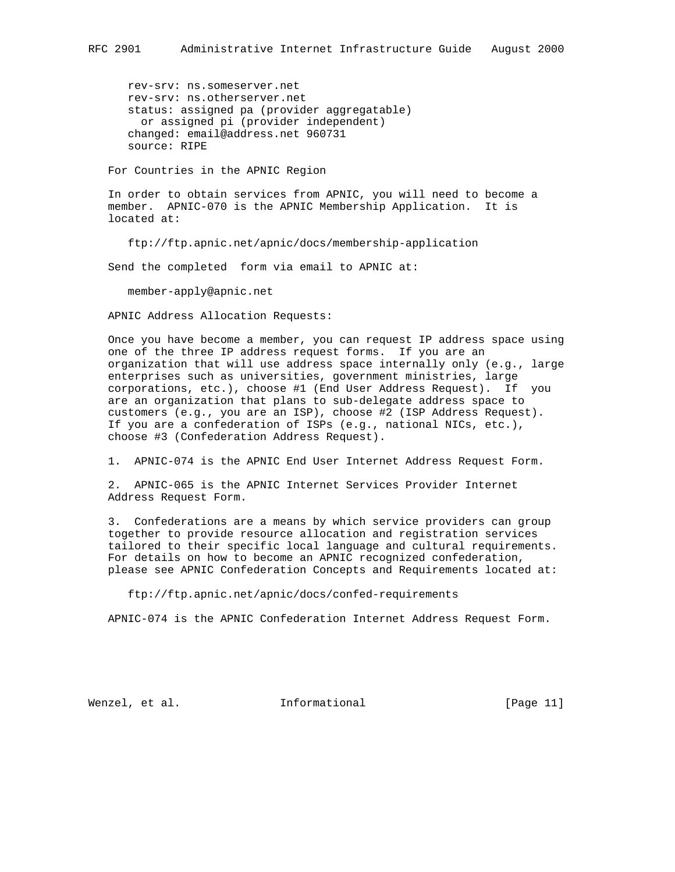rev-srv: ns.someserver.net rev-srv: ns.otherserver.net status: assigned pa (provider aggregatable) or assigned pi (provider independent) changed: email@address.net 960731 source: RIPE

For Countries in the APNIC Region

 In order to obtain services from APNIC, you will need to become a member. APNIC-070 is the APNIC Membership Application. It is located at:

ftp://ftp.apnic.net/apnic/docs/membership-application

Send the completed form via email to APNIC at:

member-apply@apnic.net

APNIC Address Allocation Requests:

 Once you have become a member, you can request IP address space using one of the three IP address request forms. If you are an organization that will use address space internally only (e.g., large enterprises such as universities, government ministries, large corporations, etc.), choose #1 (End User Address Request). If you are an organization that plans to sub-delegate address space to customers (e.g., you are an ISP), choose #2 (ISP Address Request). If you are a confederation of ISPs (e.g., national NICs, etc.), choose #3 (Confederation Address Request).

1. APNIC-074 is the APNIC End User Internet Address Request Form.

 2. APNIC-065 is the APNIC Internet Services Provider Internet Address Request Form.

 3. Confederations are a means by which service providers can group together to provide resource allocation and registration services tailored to their specific local language and cultural requirements. For details on how to become an APNIC recognized confederation, please see APNIC Confederation Concepts and Requirements located at:

ftp://ftp.apnic.net/apnic/docs/confed-requirements

APNIC-074 is the APNIC Confederation Internet Address Request Form.

Wenzel, et al. Informational [Page 11]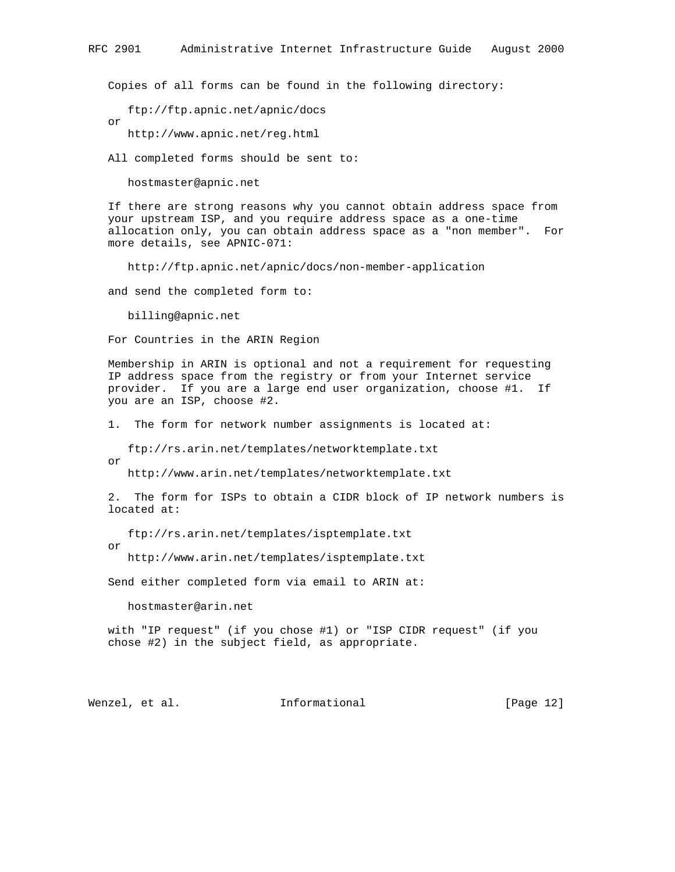Copies of all forms can be found in the following directory:

ftp://ftp.apnic.net/apnic/docs

http://www.apnic.net/reg.html

All completed forms should be sent to:

hostmaster@apnic.net

 If there are strong reasons why you cannot obtain address space from your upstream ISP, and you require address space as a one-time allocation only, you can obtain address space as a "non member". For more details, see APNIC-071:

http://ftp.apnic.net/apnic/docs/non-member-application

and send the completed form to:

billing@apnic.net

For Countries in the ARIN Region

 Membership in ARIN is optional and not a requirement for requesting IP address space from the registry or from your Internet service provider. If you are a large end user organization, choose #1. If you are an ISP, choose #2.

1. The form for network number assignments is located at:

ftp://rs.arin.net/templates/networktemplate.txt

or

or

http://www.arin.net/templates/networktemplate.txt

 2. The form for ISPs to obtain a CIDR block of IP network numbers is located at:

ftp://rs.arin.net/templates/isptemplate.txt

or

http://www.arin.net/templates/isptemplate.txt

Send either completed form via email to ARIN at:

hostmaster@arin.net

 with "IP request" (if you chose #1) or "ISP CIDR request" (if you chose #2) in the subject field, as appropriate.

Wenzel, et al. **Informational** [Page 12]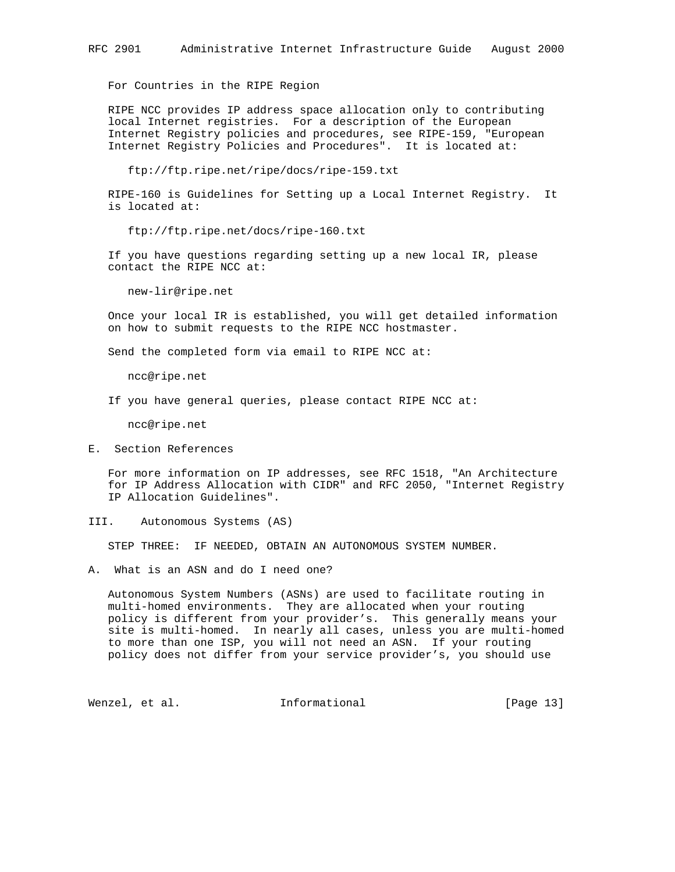For Countries in the RIPE Region

 RIPE NCC provides IP address space allocation only to contributing local Internet registries. For a description of the European Internet Registry policies and procedures, see RIPE-159, "European Internet Registry Policies and Procedures". It is located at:

ftp://ftp.ripe.net/ripe/docs/ripe-159.txt

 RIPE-160 is Guidelines for Setting up a Local Internet Registry. It is located at:

ftp://ftp.ripe.net/docs/ripe-160.txt

 If you have questions regarding setting up a new local IR, please contact the RIPE NCC at:

new-lir@ripe.net

 Once your local IR is established, you will get detailed information on how to submit requests to the RIPE NCC hostmaster.

Send the completed form via email to RIPE NCC at:

ncc@ripe.net

If you have general queries, please contact RIPE NCC at:

ncc@ripe.net

E. Section References

 For more information on IP addresses, see RFC 1518, "An Architecture for IP Address Allocation with CIDR" and RFC 2050, "Internet Registry IP Allocation Guidelines".

III. Autonomous Systems (AS)

STEP THREE: IF NEEDED, OBTAIN AN AUTONOMOUS SYSTEM NUMBER.

A. What is an ASN and do I need one?

 Autonomous System Numbers (ASNs) are used to facilitate routing in multi-homed environments. They are allocated when your routing policy is different from your provider's. This generally means your site is multi-homed. In nearly all cases, unless you are multi-homed to more than one ISP, you will not need an ASN. If your routing policy does not differ from your service provider's, you should use

Wenzel, et al. 1nformational 1999 [Page 13]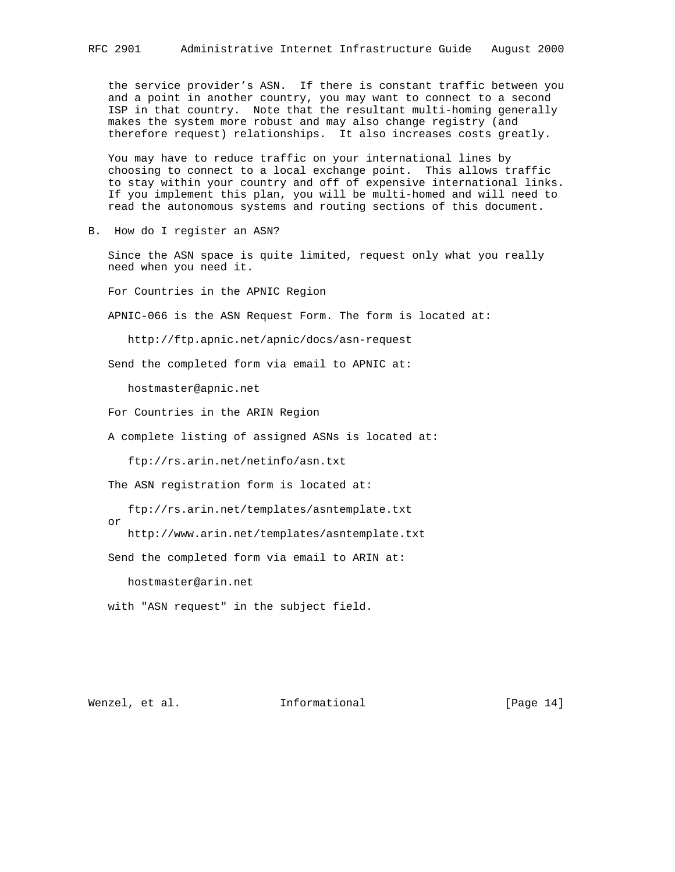the service provider's ASN. If there is constant traffic between you and a point in another country, you may want to connect to a second ISP in that country. Note that the resultant multi-homing generally makes the system more robust and may also change registry (and therefore request) relationships. It also increases costs greatly.

 You may have to reduce traffic on your international lines by choosing to connect to a local exchange point. This allows traffic to stay within your country and off of expensive international links. If you implement this plan, you will be multi-homed and will need to read the autonomous systems and routing sections of this document.

B. How do I register an ASN?

 Since the ASN space is quite limited, request only what you really need when you need it.

For Countries in the APNIC Region

APNIC-066 is the ASN Request Form. The form is located at:

http://ftp.apnic.net/apnic/docs/asn-request

Send the completed form via email to APNIC at:

hostmaster@apnic.net

For Countries in the ARIN Region

A complete listing of assigned ASNs is located at:

ftp://rs.arin.net/netinfo/asn.txt

The ASN registration form is located at:

ftp://rs.arin.net/templates/asntemplate.txt

http://www.arin.net/templates/asntemplate.txt

Send the completed form via email to ARIN at:

hostmaster@arin.net

with "ASN request" in the subject field.

or

Wenzel, et al. **Informational** [Page 14]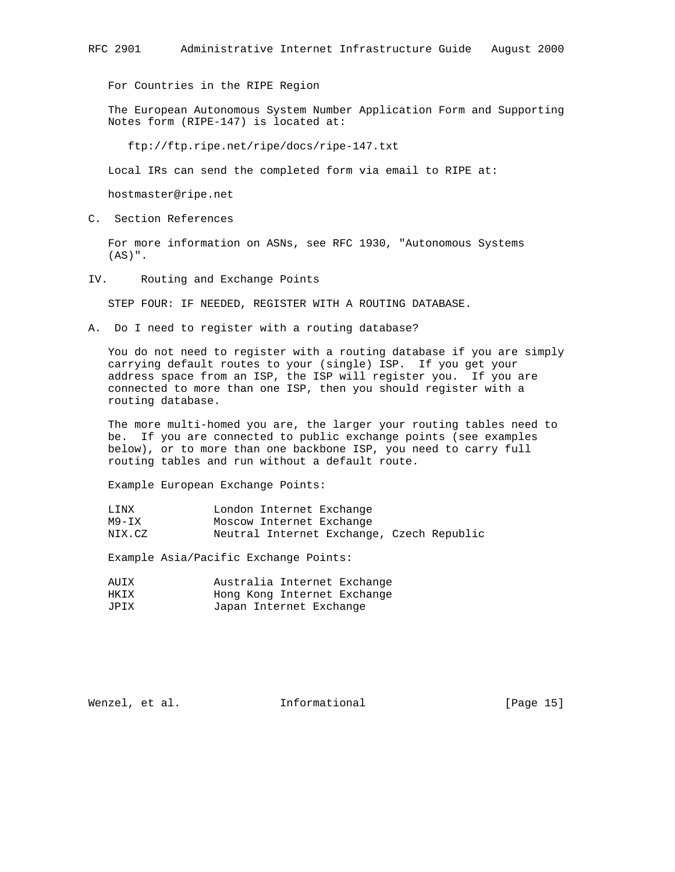For Countries in the RIPE Region

 The European Autonomous System Number Application Form and Supporting Notes form (RIPE-147) is located at:

ftp://ftp.ripe.net/ripe/docs/ripe-147.txt

Local IRs can send the completed form via email to RIPE at:

hostmaster@ripe.net

C. Section References

 For more information on ASNs, see RFC 1930, "Autonomous Systems  $(AS)$ ".

IV. Routing and Exchange Points

STEP FOUR: IF NEEDED, REGISTER WITH A ROUTING DATABASE.

A. Do I need to register with a routing database?

 You do not need to register with a routing database if you are simply carrying default routes to your (single) ISP. If you get your address space from an ISP, the ISP will register you. If you are connected to more than one ISP, then you should register with a routing database.

 The more multi-homed you are, the larger your routing tables need to be. If you are connected to public exchange points (see examples below), or to more than one backbone ISP, you need to carry full routing tables and run without a default route.

Example European Exchange Points:

| LINX   | London Internet Exchange                  |
|--------|-------------------------------------------|
| M9-IX  | Moscow Internet Exchange                  |
| NIX.CZ | Neutral Internet Exchange, Czech Republic |

Example Asia/Pacific Exchange Points:

| AUIX | Australia Internet Exchange |  |
|------|-----------------------------|--|
| HKTX | Hong Kong Internet Exchange |  |
| JPIX | Japan Internet Exchange     |  |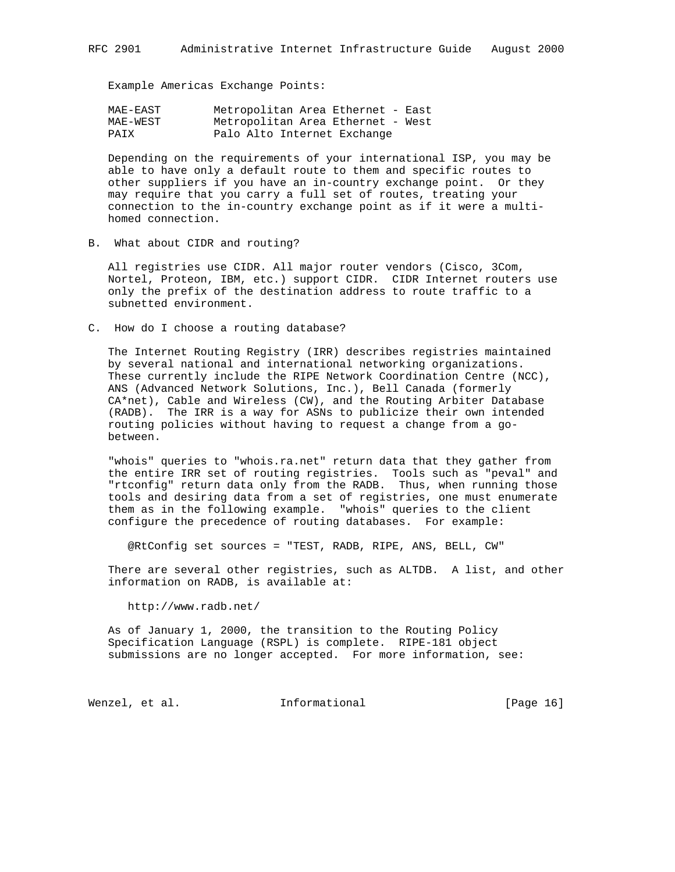Example Americas Exchange Points:

| MAE-EAST | Metropolitan Area Ethernet - East |
|----------|-----------------------------------|
| MAE-WEST | Metropolitan Area Ethernet - West |
| PATX     | Palo Alto Internet Exchange       |

 Depending on the requirements of your international ISP, you may be able to have only a default route to them and specific routes to other suppliers if you have an in-country exchange point. Or they may require that you carry a full set of routes, treating your connection to the in-country exchange point as if it were a multi homed connection.

B. What about CIDR and routing?

 All registries use CIDR. All major router vendors (Cisco, 3Com, Nortel, Proteon, IBM, etc.) support CIDR. CIDR Internet routers use only the prefix of the destination address to route traffic to a subnetted environment.

C. How do I choose a routing database?

 The Internet Routing Registry (IRR) describes registries maintained by several national and international networking organizations. These currently include the RIPE Network Coordination Centre (NCC), ANS (Advanced Network Solutions, Inc.), Bell Canada (formerly CA\*net), Cable and Wireless (CW), and the Routing Arbiter Database (RADB). The IRR is a way for ASNs to publicize their own intended routing policies without having to request a change from a go between.

 "whois" queries to "whois.ra.net" return data that they gather from the entire IRR set of routing registries. Tools such as "peval" and "rtconfig" return data only from the RADB. Thus, when running those tools and desiring data from a set of registries, one must enumerate them as in the following example. "whois" queries to the client configure the precedence of routing databases. For example:

@RtConfig set sources = "TEST, RADB, RIPE, ANS, BELL, CW"

 There are several other registries, such as ALTDB. A list, and other information on RADB, is available at:

http://www.radb.net/

 As of January 1, 2000, the transition to the Routing Policy Specification Language (RSPL) is complete. RIPE-181 object submissions are no longer accepted. For more information, see:

Wenzel, et al. **Informational** [Page 16]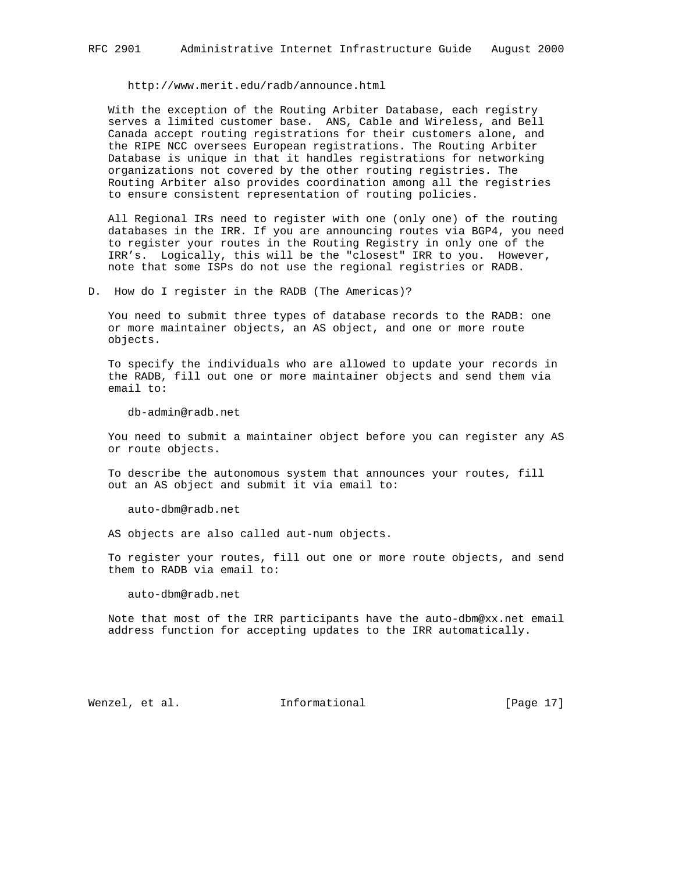http://www.merit.edu/radb/announce.html

 With the exception of the Routing Arbiter Database, each registry serves a limited customer base. ANS, Cable and Wireless, and Bell Canada accept routing registrations for their customers alone, and the RIPE NCC oversees European registrations. The Routing Arbiter Database is unique in that it handles registrations for networking organizations not covered by the other routing registries. The Routing Arbiter also provides coordination among all the registries to ensure consistent representation of routing policies.

 All Regional IRs need to register with one (only one) of the routing databases in the IRR. If you are announcing routes via BGP4, you need to register your routes in the Routing Registry in only one of the IRR's. Logically, this will be the "closest" IRR to you. However, note that some ISPs do not use the regional registries or RADB.

D. How do I register in the RADB (The Americas)?

 You need to submit three types of database records to the RADB: one or more maintainer objects, an AS object, and one or more route objects.

 To specify the individuals who are allowed to update your records in the RADB, fill out one or more maintainer objects and send them via email to:

db-admin@radb.net

 You need to submit a maintainer object before you can register any AS or route objects.

 To describe the autonomous system that announces your routes, fill out an AS object and submit it via email to:

auto-dbm@radb.net

AS objects are also called aut-num objects.

 To register your routes, fill out one or more route objects, and send them to RADB via email to:

auto-dbm@radb.net

 Note that most of the IRR participants have the auto-dbm@xx.net email address function for accepting updates to the IRR automatically.

Wenzel, et al. 1nformational [Page 17]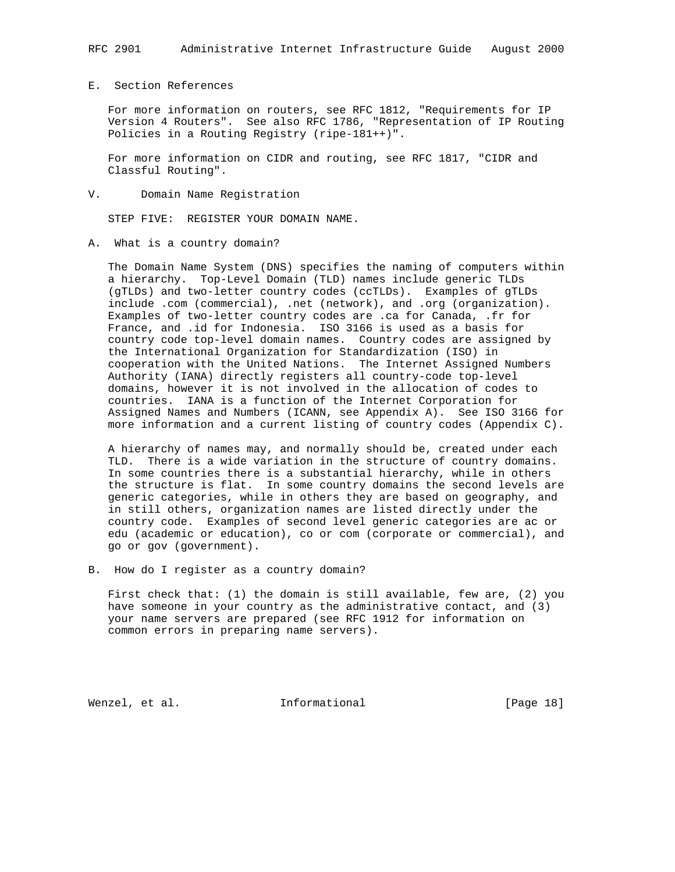# RFC 2901 Administrative Internet Infrastructure Guide August 2000

# E. Section References

 For more information on routers, see RFC 1812, "Requirements for IP Version 4 Routers". See also RFC 1786, "Representation of IP Routing Policies in a Routing Registry (ripe-181++)".

 For more information on CIDR and routing, see RFC 1817, "CIDR and Classful Routing".

V. Domain Name Registration

STEP FIVE: REGISTER YOUR DOMAIN NAME.

A. What is a country domain?

 The Domain Name System (DNS) specifies the naming of computers within a hierarchy. Top-Level Domain (TLD) names include generic TLDs (gTLDs) and two-letter country codes (ccTLDs). Examples of gTLDs include .com (commercial), .net (network), and .org (organization). Examples of two-letter country codes are .ca for Canada, .fr for France, and .id for Indonesia. ISO 3166 is used as a basis for country code top-level domain names. Country codes are assigned by the International Organization for Standardization (ISO) in cooperation with the United Nations. The Internet Assigned Numbers Authority (IANA) directly registers all country-code top-level domains, however it is not involved in the allocation of codes to countries. IANA is a function of the Internet Corporation for Assigned Names and Numbers (ICANN, see Appendix A). See ISO 3166 for more information and a current listing of country codes (Appendix C).

 A hierarchy of names may, and normally should be, created under each TLD. There is a wide variation in the structure of country domains. In some countries there is a substantial hierarchy, while in others the structure is flat. In some country domains the second levels are generic categories, while in others they are based on geography, and in still others, organization names are listed directly under the country code. Examples of second level generic categories are ac or edu (academic or education), co or com (corporate or commercial), and go or gov (government).

B. How do I register as a country domain?

 First check that: (1) the domain is still available, few are, (2) you have someone in your country as the administrative contact, and (3) your name servers are prepared (see RFC 1912 for information on common errors in preparing name servers).

Wenzel, et al. **Informational** [Page 18]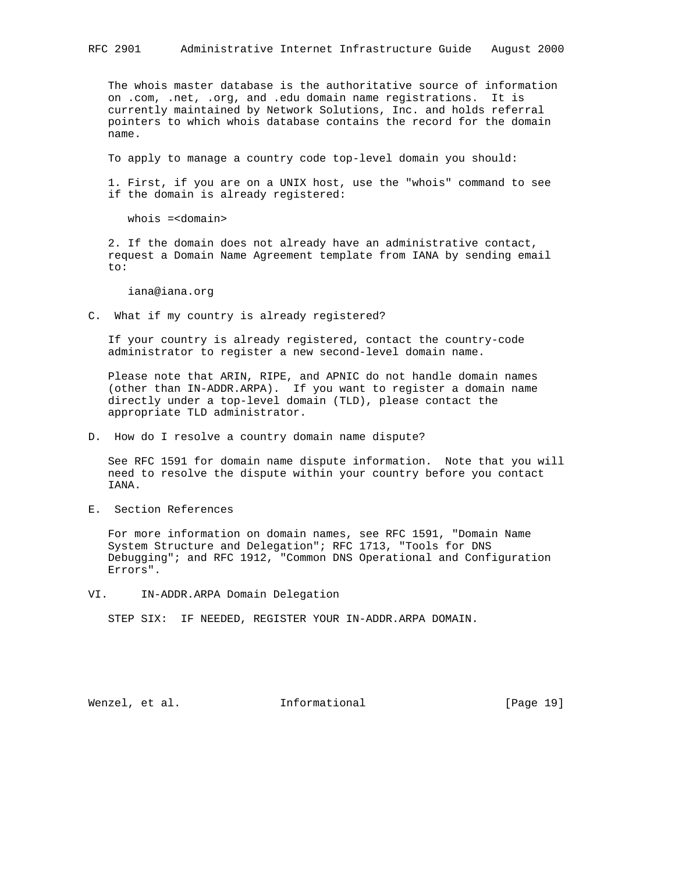The whois master database is the authoritative source of information on .com, .net, .org, and .edu domain name registrations. It is currently maintained by Network Solutions, Inc. and holds referral pointers to which whois database contains the record for the domain name.

To apply to manage a country code top-level domain you should:

 1. First, if you are on a UNIX host, use the "whois" command to see if the domain is already registered:

whois =<domain>

 2. If the domain does not already have an administrative contact, request a Domain Name Agreement template from IANA by sending email to:

iana@iana.org

C. What if my country is already registered?

 If your country is already registered, contact the country-code administrator to register a new second-level domain name.

 Please note that ARIN, RIPE, and APNIC do not handle domain names (other than IN-ADDR.ARPA). If you want to register a domain name directly under a top-level domain (TLD), please contact the appropriate TLD administrator.

D. How do I resolve a country domain name dispute?

 See RFC 1591 for domain name dispute information. Note that you will need to resolve the dispute within your country before you contact IANA.

E. Section References

 For more information on domain names, see RFC 1591, "Domain Name System Structure and Delegation"; RFC 1713, "Tools for DNS Debugging"; and RFC 1912, "Common DNS Operational and Configuration Errors".

VI. IN-ADDR.ARPA Domain Delegation

STEP SIX: IF NEEDED, REGISTER YOUR IN-ADDR.ARPA DOMAIN.

Wenzel, et al. 1nformational 1915 [Page 19]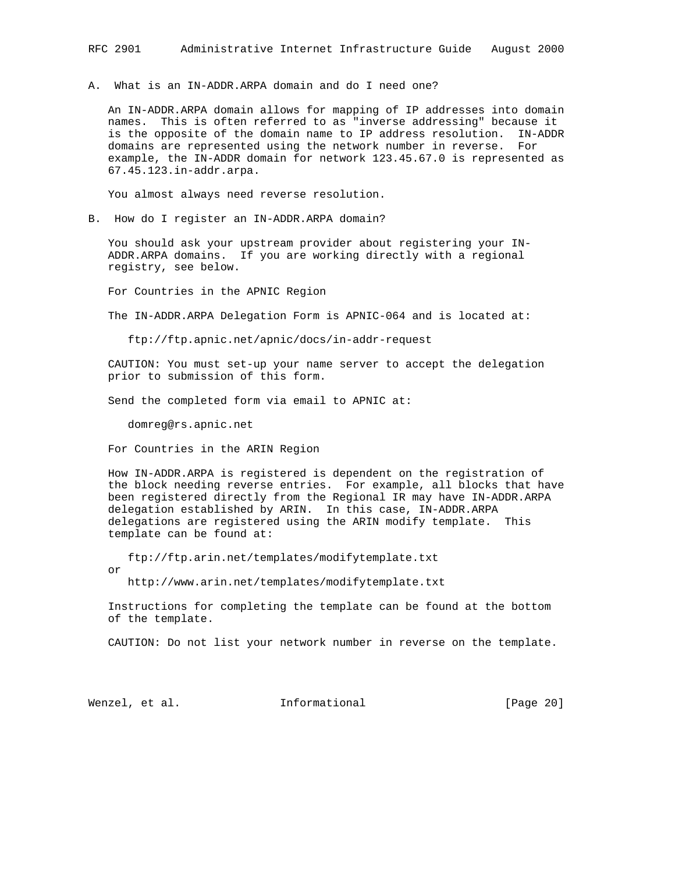A. What is an IN-ADDR.ARPA domain and do I need one?

 An IN-ADDR.ARPA domain allows for mapping of IP addresses into domain names. This is often referred to as "inverse addressing" because it is the opposite of the domain name to IP address resolution. IN-ADDR domains are represented using the network number in reverse. For example, the IN-ADDR domain for network 123.45.67.0 is represented as 67.45.123.in-addr.arpa.

You almost always need reverse resolution.

B. How do I register an IN-ADDR.ARPA domain?

 You should ask your upstream provider about registering your IN- ADDR.ARPA domains. If you are working directly with a regional registry, see below.

For Countries in the APNIC Region

The IN-ADDR.ARPA Delegation Form is APNIC-064 and is located at:

ftp://ftp.apnic.net/apnic/docs/in-addr-request

 CAUTION: You must set-up your name server to accept the delegation prior to submission of this form.

Send the completed form via email to APNIC at:

domreg@rs.apnic.net

For Countries in the ARIN Region

 How IN-ADDR.ARPA is registered is dependent on the registration of the block needing reverse entries. For example, all blocks that have been registered directly from the Regional IR may have IN-ADDR.ARPA delegation established by ARIN. In this case, IN-ADDR.ARPA delegations are registered using the ARIN modify template. This template can be found at:

 ftp://ftp.arin.net/templates/modifytemplate.txt or http://www.arin.net/templates/modifytemplate.txt

Instructions for completing the template can be found at the bottom

of the template.

CAUTION: Do not list your network number in reverse on the template.

Wenzel, et al. **Informational** [Page 20]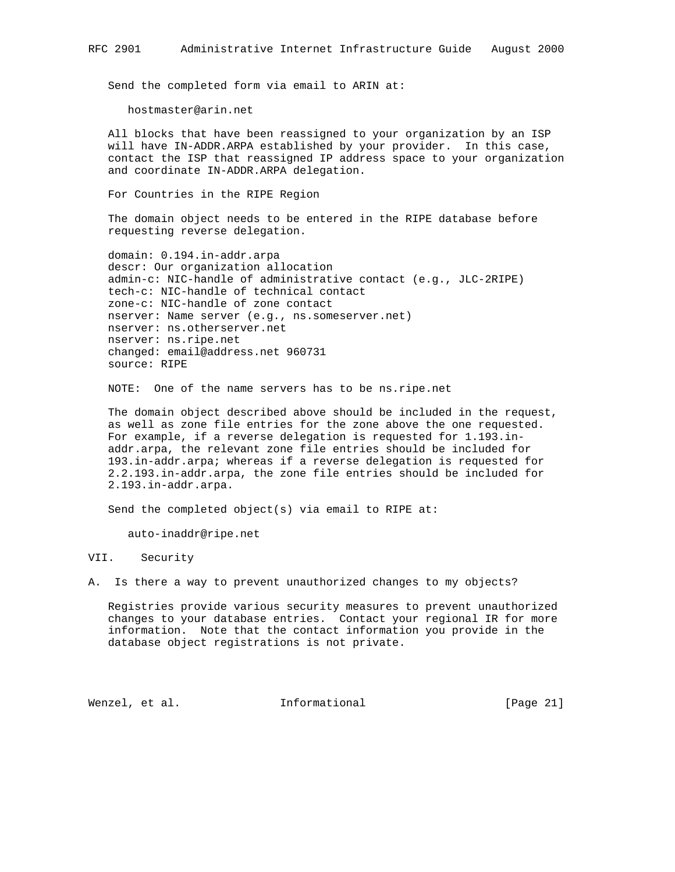Send the completed form via email to ARIN at:

hostmaster@arin.net

 All blocks that have been reassigned to your organization by an ISP will have IN-ADDR.ARPA established by your provider. In this case, contact the ISP that reassigned IP address space to your organization and coordinate IN-ADDR.ARPA delegation.

For Countries in the RIPE Region

 The domain object needs to be entered in the RIPE database before requesting reverse delegation.

 domain: 0.194.in-addr.arpa descr: Our organization allocation admin-c: NIC-handle of administrative contact (e.g., JLC-2RIPE) tech-c: NIC-handle of technical contact zone-c: NIC-handle of zone contact nserver: Name server (e.g., ns.someserver.net) nserver: ns.otherserver.net nserver: ns.ripe.net changed: email@address.net 960731 source: RIPE

NOTE: One of the name servers has to be ns.ripe.net

 The domain object described above should be included in the request, as well as zone file entries for the zone above the one requested. For example, if a reverse delegation is requested for 1.193.in addr.arpa, the relevant zone file entries should be included for 193.in-addr.arpa; whereas if a reverse delegation is requested for 2.2.193.in-addr.arpa, the zone file entries should be included for 2.193.in-addr.arpa.

Send the completed object(s) via email to RIPE at:

auto-inaddr@ripe.net

VII. Security

A. Is there a way to prevent unauthorized changes to my objects?

 Registries provide various security measures to prevent unauthorized changes to your database entries. Contact your regional IR for more information. Note that the contact information you provide in the database object registrations is not private.

Wenzel, et al. Informational [Page 21]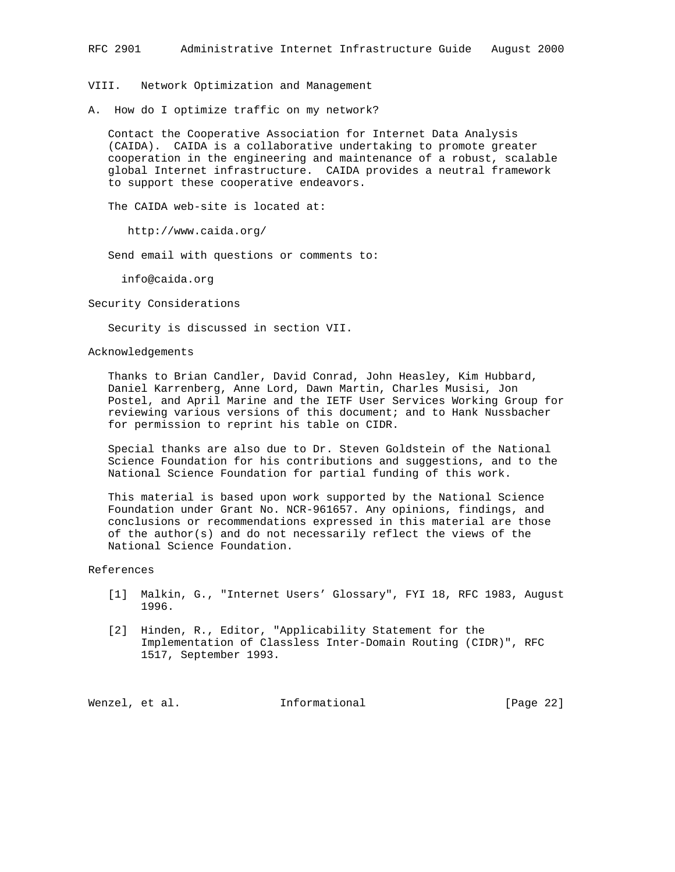# RFC 2901 Administrative Internet Infrastructure Guide August 2000

VIII. Network Optimization and Management

A. How do I optimize traffic on my network?

 Contact the Cooperative Association for Internet Data Analysis (CAIDA). CAIDA is a collaborative undertaking to promote greater cooperation in the engineering and maintenance of a robust, scalable global Internet infrastructure. CAIDA provides a neutral framework to support these cooperative endeavors.

The CAIDA web-site is located at:

http://www.caida.org/

Send email with questions or comments to:

info@caida.org

Security Considerations

Security is discussed in section VII.

Acknowledgements

 Thanks to Brian Candler, David Conrad, John Heasley, Kim Hubbard, Daniel Karrenberg, Anne Lord, Dawn Martin, Charles Musisi, Jon Postel, and April Marine and the IETF User Services Working Group for reviewing various versions of this document; and to Hank Nussbacher for permission to reprint his table on CIDR.

 Special thanks are also due to Dr. Steven Goldstein of the National Science Foundation for his contributions and suggestions, and to the National Science Foundation for partial funding of this work.

 This material is based upon work supported by the National Science Foundation under Grant No. NCR-961657. Any opinions, findings, and conclusions or recommendations expressed in this material are those of the author(s) and do not necessarily reflect the views of the National Science Foundation.

References

- [1] Malkin, G., "Internet Users' Glossary", FYI 18, RFC 1983, August 1996.
- [2] Hinden, R., Editor, "Applicability Statement for the Implementation of Classless Inter-Domain Routing (CIDR)", RFC 1517, September 1993.

Wenzel, et al. **Informational** [Page 22]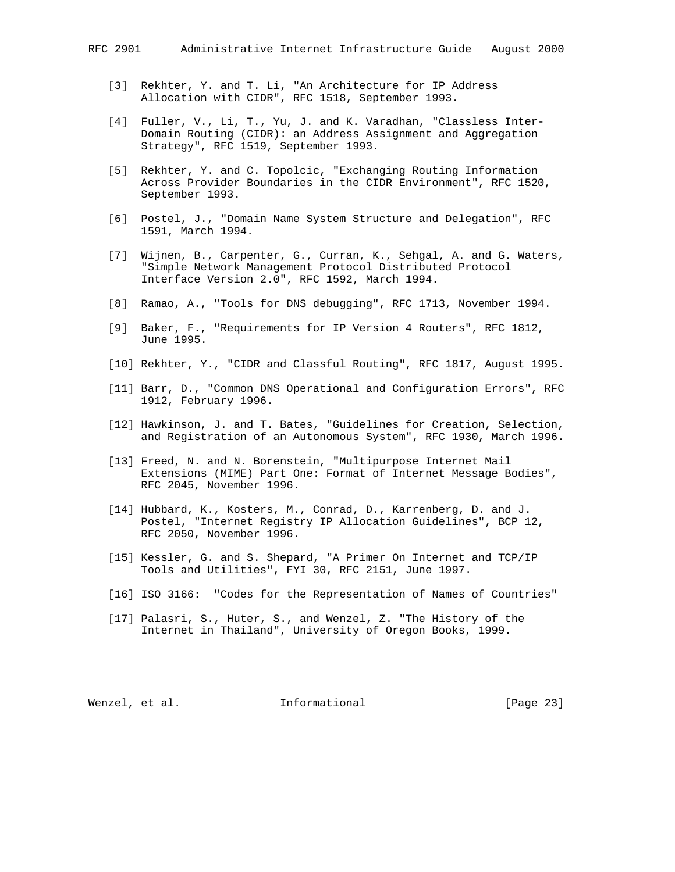- [3] Rekhter, Y. and T. Li, "An Architecture for IP Address Allocation with CIDR", RFC 1518, September 1993.
- [4] Fuller, V., Li, T., Yu, J. and K. Varadhan, "Classless Inter- Domain Routing (CIDR): an Address Assignment and Aggregation Strategy", RFC 1519, September 1993.
- [5] Rekhter, Y. and C. Topolcic, "Exchanging Routing Information Across Provider Boundaries in the CIDR Environment", RFC 1520, September 1993.
- [6] Postel, J., "Domain Name System Structure and Delegation", RFC 1591, March 1994.
- [7] Wijnen, B., Carpenter, G., Curran, K., Sehgal, A. and G. Waters, "Simple Network Management Protocol Distributed Protocol Interface Version 2.0", RFC 1592, March 1994.
- [8] Ramao, A., "Tools for DNS debugging", RFC 1713, November 1994.
- [9] Baker, F., "Requirements for IP Version 4 Routers", RFC 1812, June 1995.
- [10] Rekhter, Y., "CIDR and Classful Routing", RFC 1817, August 1995.
- [11] Barr, D., "Common DNS Operational and Configuration Errors", RFC 1912, February 1996.
- [12] Hawkinson, J. and T. Bates, "Guidelines for Creation, Selection, and Registration of an Autonomous System", RFC 1930, March 1996.
- [13] Freed, N. and N. Borenstein, "Multipurpose Internet Mail Extensions (MIME) Part One: Format of Internet Message Bodies", RFC 2045, November 1996.
- [14] Hubbard, K., Kosters, M., Conrad, D., Karrenberg, D. and J. Postel, "Internet Registry IP Allocation Guidelines", BCP 12, RFC 2050, November 1996.
- [15] Kessler, G. and S. Shepard, "A Primer On Internet and TCP/IP Tools and Utilities", FYI 30, RFC 2151, June 1997.
- [16] ISO 3166: "Codes for the Representation of Names of Countries"
- [17] Palasri, S., Huter, S., and Wenzel, Z. "The History of the Internet in Thailand", University of Oregon Books, 1999.

Wenzel, et al. **Informational** [Page 23]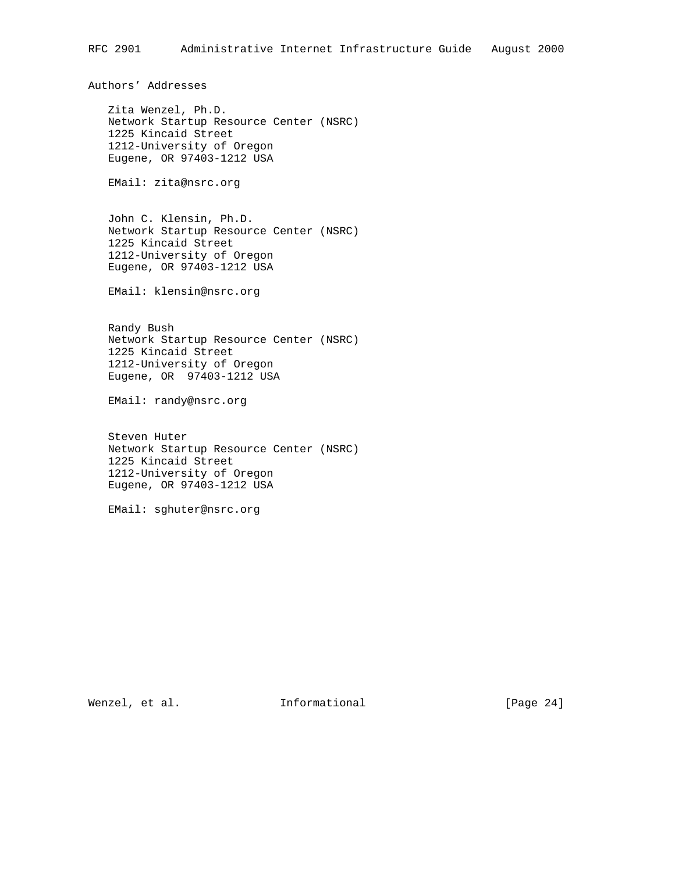Authors' Addresses

 Zita Wenzel, Ph.D. Network Startup Resource Center (NSRC) 1225 Kincaid Street 1212-University of Oregon Eugene, OR 97403-1212 USA

EMail: zita@nsrc.org

 John C. Klensin, Ph.D. Network Startup Resource Center (NSRC) 1225 Kincaid Street 1212-University of Oregon Eugene, OR 97403-1212 USA

EMail: klensin@nsrc.org

 Randy Bush Network Startup Resource Center (NSRC) 1225 Kincaid Street 1212-University of Oregon Eugene, OR 97403-1212 USA

EMail: randy@nsrc.org

 Steven Huter Network Startup Resource Center (NSRC) 1225 Kincaid Street 1212-University of Oregon Eugene, OR 97403-1212 USA

EMail: sghuter@nsrc.org

Wenzel, et al. 1nformational 1999 [Page 24]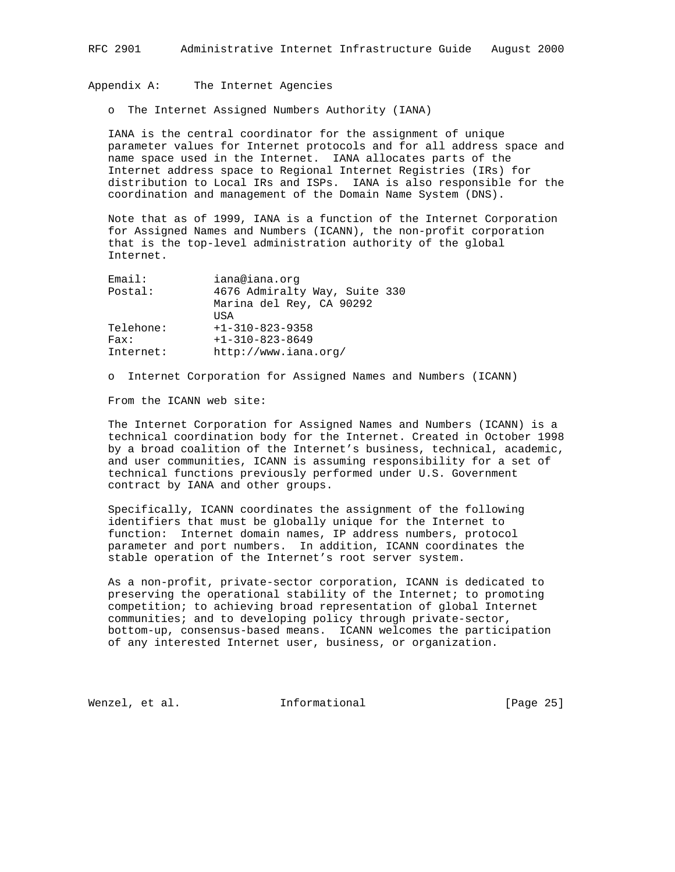### Appendix A: The Internet Agencies

o The Internet Assigned Numbers Authority (IANA)

 IANA is the central coordinator for the assignment of unique parameter values for Internet protocols and for all address space and name space used in the Internet. IANA allocates parts of the Internet address space to Regional Internet Registries (IRs) for distribution to Local IRs and ISPs. IANA is also responsible for the coordination and management of the Domain Name System (DNS).

 Note that as of 1999, IANA is a function of the Internet Corporation for Assigned Names and Numbers (ICANN), the non-profit corporation that is the top-level administration authority of the global Internet.

| Email:<br>iana@iana.orq                  |  |
|------------------------------------------|--|
| 4676 Admiralty Way, Suite 330<br>Postal: |  |
| Marina del Rey, CA 90292                 |  |
| <b>TISA</b>                              |  |
| $+1-310-823-9358$<br>Telehone:           |  |
| $+1-310-823-8649$<br>Fast:               |  |
| http://www.iana.org/<br>Internet:        |  |

o Internet Corporation for Assigned Names and Numbers (ICANN)

From the ICANN web site:

 The Internet Corporation for Assigned Names and Numbers (ICANN) is a technical coordination body for the Internet. Created in October 1998 by a broad coalition of the Internet's business, technical, academic, and user communities, ICANN is assuming responsibility for a set of technical functions previously performed under U.S. Government contract by IANA and other groups.

 Specifically, ICANN coordinates the assignment of the following identifiers that must be globally unique for the Internet to function: Internet domain names, IP address numbers, protocol parameter and port numbers. In addition, ICANN coordinates the stable operation of the Internet's root server system.

 As a non-profit, private-sector corporation, ICANN is dedicated to preserving the operational stability of the Internet; to promoting competition; to achieving broad representation of global Internet communities; and to developing policy through private-sector, bottom-up, consensus-based means. ICANN welcomes the participation of any interested Internet user, business, or organization.

Wenzel, et al. **Informational** [Page 25]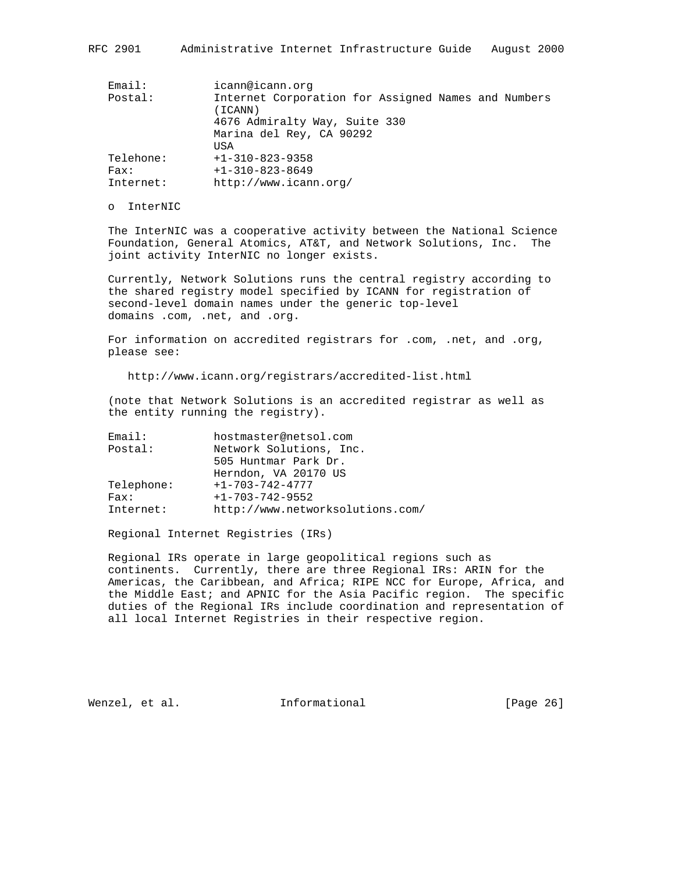| Email:    | icann@icann.org                                                |
|-----------|----------------------------------------------------------------|
| Postal:   | Internet Corporation for Assigned Names and Numbers<br>(ICANN) |
|           | 4676 Admiralty Way, Suite 330                                  |
|           | Marina del Rey, CA 90292                                       |
|           | USA                                                            |
| Telehone: | $+1-310-823-9358$                                              |
| Fast:     | $+1-310-823-8649$                                              |
| Internet: | http://www.icann.org/                                          |

### o InterNIC

 The InterNIC was a cooperative activity between the National Science Foundation, General Atomics, AT&T, and Network Solutions, Inc. The joint activity InterNIC no longer exists.

 Currently, Network Solutions runs the central registry according to the shared registry model specified by ICANN for registration of second-level domain names under the generic top-level domains .com, .net, and .org.

 For information on accredited registrars for .com, .net, and .org, please see:

http://www.icann.org/registrars/accredited-list.html

 (note that Network Solutions is an accredited registrar as well as the entity running the registry).

| Email:     | hostmaster@netsol.com            |
|------------|----------------------------------|
| Postal:    | Network Solutions, Inc.          |
|            | 505 Huntmar Park Dr.             |
|            | Herndon, VA 20170 US             |
| Telephone: | $+1 - 703 - 742 - 4777$          |
| Fast:      | $+1 - 703 - 742 - 9552$          |
| Internet:  | http://www.networksolutions.com/ |
|            |                                  |

Regional Internet Registries (IRs)

 Regional IRs operate in large geopolitical regions such as continents. Currently, there are three Regional IRs: ARIN for the Americas, the Caribbean, and Africa; RIPE NCC for Europe, Africa, and the Middle East; and APNIC for the Asia Pacific region. The specific duties of the Regional IRs include coordination and representation of all local Internet Registries in their respective region.

Wenzel, et al. **Informational** [Page 26]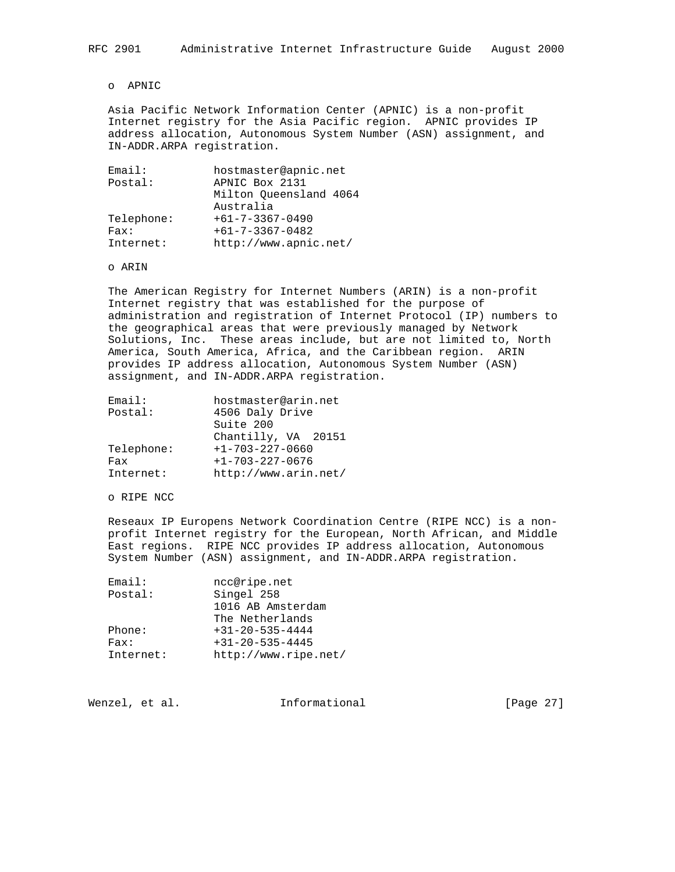# o APNIC

 Asia Pacific Network Information Center (APNIC) is a non-profit Internet registry for the Asia Pacific region. APNIC provides IP address allocation, Autonomous System Number (ASN) assignment, and IN-ADDR.ARPA registration.

| Email:     | hostmaster@apnic.net    |
|------------|-------------------------|
| Postal:    | APNIC Box 2131          |
|            | Milton Oueensland 4064  |
|            | Australia               |
| Telephone: | $+61 - 7 - 3367 - 0490$ |
| Fast:      | $+61 - 7 - 3367 - 0482$ |
| Internet:  | http://www.apnic.net/   |

o ARIN

 The American Registry for Internet Numbers (ARIN) is a non-profit Internet registry that was established for the purpose of administration and registration of Internet Protocol (IP) numbers to the geographical areas that were previously managed by Network Solutions, Inc. These areas include, but are not limited to, North America, South America, Africa, and the Caribbean region. ARIN provides IP address allocation, Autonomous System Number (ASN) assignment, and IN-ADDR.ARPA registration.

| Email:     | hostmaster@arin.net     |
|------------|-------------------------|
| Postal:    | 4506 Daly Drive         |
|            | Suite 200               |
|            | Chantilly, VA 20151     |
| Telephone: | $+1 - 703 - 227 - 0660$ |
| Fax        | $+1 - 703 - 227 - 0676$ |
| Internet:  | http://www.arin.net/    |

o RIPE NCC

 Reseaux IP Europens Network Coordination Centre (RIPE NCC) is a non profit Internet registry for the European, North African, and Middle East regions. RIPE NCC provides IP address allocation, Autonomous System Number (ASN) assignment, and IN-ADDR.ARPA registration.

| Email:    | ncc@ripe.net            |
|-----------|-------------------------|
| Postal:   | Singel 258              |
|           | 1016 AB Amsterdam       |
|           | The Netherlands         |
| Phone:    | $+31 - 20 - 535 - 4444$ |
| Fast:     | $+31 - 20 - 535 - 4445$ |
| Internet: | http://www.ripe.net/    |

Wenzel, et al. **Informational** [Page 27]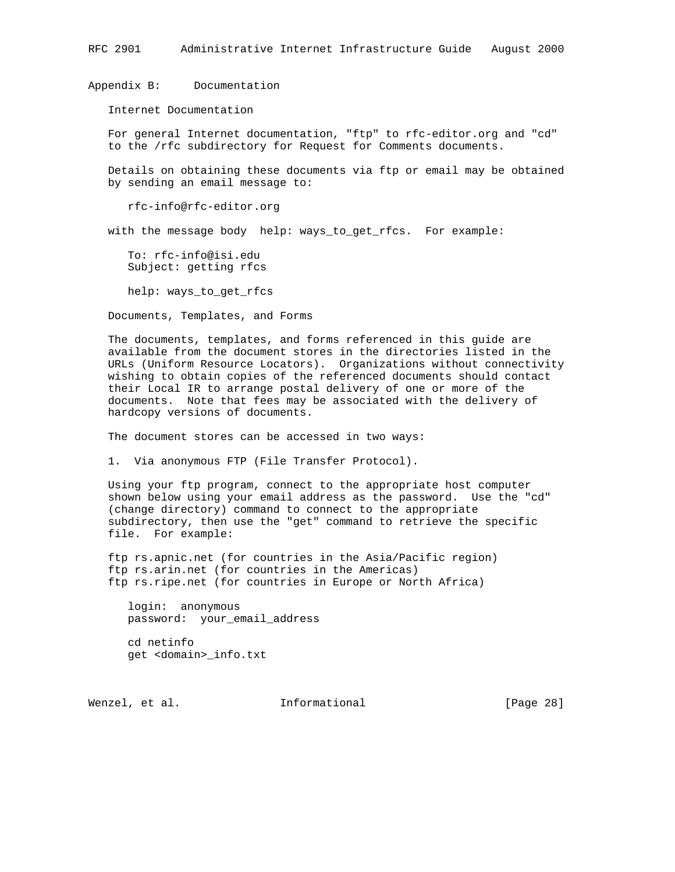RFC 2901 Administrative Internet Infrastructure Guide August 2000

Appendix B: Documentation

Internet Documentation

 For general Internet documentation, "ftp" to rfc-editor.org and "cd" to the /rfc subdirectory for Request for Comments documents.

 Details on obtaining these documents via ftp or email may be obtained by sending an email message to:

rfc-info@rfc-editor.org

with the message body help: ways\_to\_get\_rfcs. For example:

 To: rfc-info@isi.edu Subject: getting rfcs

help: ways\_to\_get\_rfcs

Documents, Templates, and Forms

 The documents, templates, and forms referenced in this guide are available from the document stores in the directories listed in the URLs (Uniform Resource Locators). Organizations without connectivity wishing to obtain copies of the referenced documents should contact their Local IR to arrange postal delivery of one or more of the documents. Note that fees may be associated with the delivery of hardcopy versions of documents.

The document stores can be accessed in two ways:

1. Via anonymous FTP (File Transfer Protocol).

 Using your ftp program, connect to the appropriate host computer shown below using your email address as the password. Use the "cd" (change directory) command to connect to the appropriate subdirectory, then use the "get" command to retrieve the specific file. For example:

 ftp rs.apnic.net (for countries in the Asia/Pacific region) ftp rs.arin.net (for countries in the Americas) ftp rs.ripe.net (for countries in Europe or North Africa)

 login: anonymous password: your\_email\_address

 cd netinfo get <domain>\_info.txt

Wenzel, et al. **Informational** [Page 28]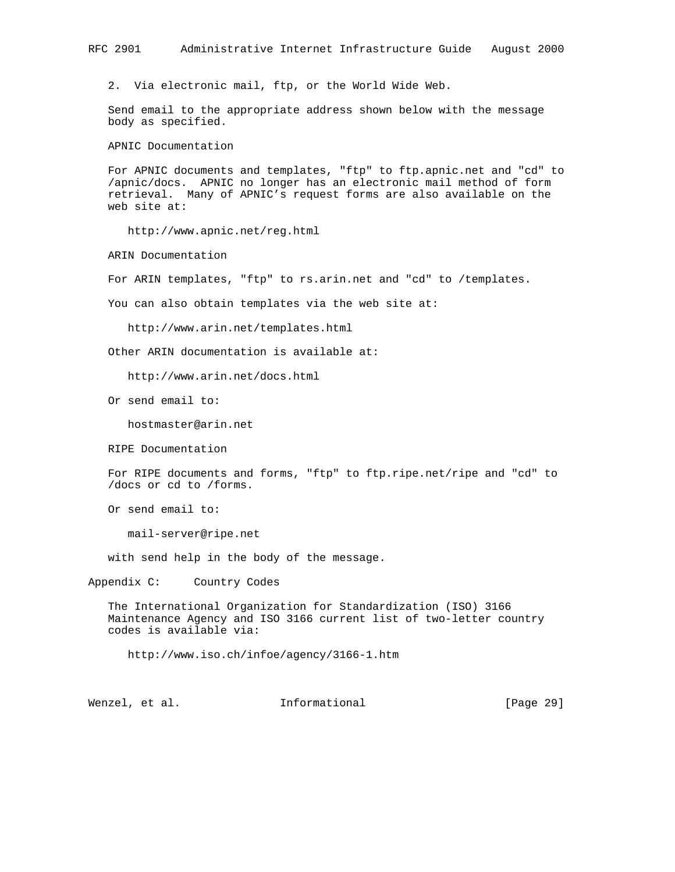### RFC 2901 Administrative Internet Infrastructure Guide August 2000

2. Via electronic mail, ftp, or the World Wide Web.

 Send email to the appropriate address shown below with the message body as specified.

APNIC Documentation

 For APNIC documents and templates, "ftp" to ftp.apnic.net and "cd" to /apnic/docs. APNIC no longer has an electronic mail method of form retrieval. Many of APNIC's request forms are also available on the web site at:

http://www.apnic.net/reg.html

ARIN Documentation

For ARIN templates, "ftp" to rs.arin.net and "cd" to /templates.

You can also obtain templates via the web site at:

http://www.arin.net/templates.html

Other ARIN documentation is available at:

http://www.arin.net/docs.html

Or send email to:

hostmaster@arin.net

RIPE Documentation

 For RIPE documents and forms, "ftp" to ftp.ripe.net/ripe and "cd" to /docs or cd to /forms.

Or send email to:

mail-server@ripe.net

with send help in the body of the message.

Appendix C: Country Codes

 The International Organization for Standardization (ISO) 3166 Maintenance Agency and ISO 3166 current list of two-letter country codes is available via:

http://www.iso.ch/infoe/agency/3166-1.htm

Wenzel, et al. 1nformational [Page 29]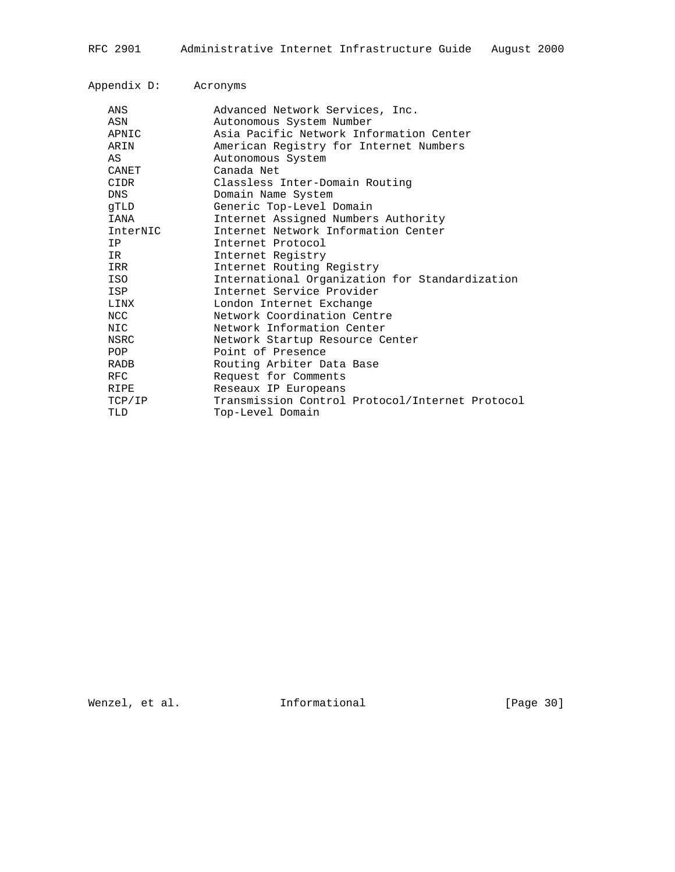| Appendix D: | Acronyms                                        |
|-------------|-------------------------------------------------|
| ANS         | Advanced Network Services, Inc.                 |
| ASN         | Autonomous System Number                        |
| APNIC       | Asia Pacific Network Information Center         |
| ARIN        | American Registry for Internet Numbers          |
| AS          | Autonomous System                               |
| CANET       | Canada Net                                      |
| CIDR        | Classless Inter-Domain Routing                  |
| DNS.        | Domain Name System                              |
| qTLD        | Generic Top-Level Domain                        |
| IANA        | Internet Assigned Numbers Authority             |
| InterNIC    | Internet Network Information Center             |
| IP.         | Internet Protocol                               |
| IR.         | Internet Registry                               |
| IRR         | Internet Routing Registry                       |
| ISO         | International Organization for Standardization  |
| ISP         | Internet Service Provider                       |
| LINX        | London Internet Exchange                        |
| NCC         | Network Coordination Centre                     |
| NIC         | Network Information Center                      |
| NSRC        | Network Startup Resource Center                 |
| <b>POP</b>  | Point of Presence                               |
| RADB        | Routing Arbiter Data Base                       |
| <b>RFC</b>  | Request for Comments                            |
| RIPE        | Reseaux IP Europeans                            |
| TCP/IP      | Transmission Control Protocol/Internet Protocol |
| TLD         | Top-Level Domain                                |
|             |                                                 |

Wenzel, et al. 1nformational 1999 [Page 30]